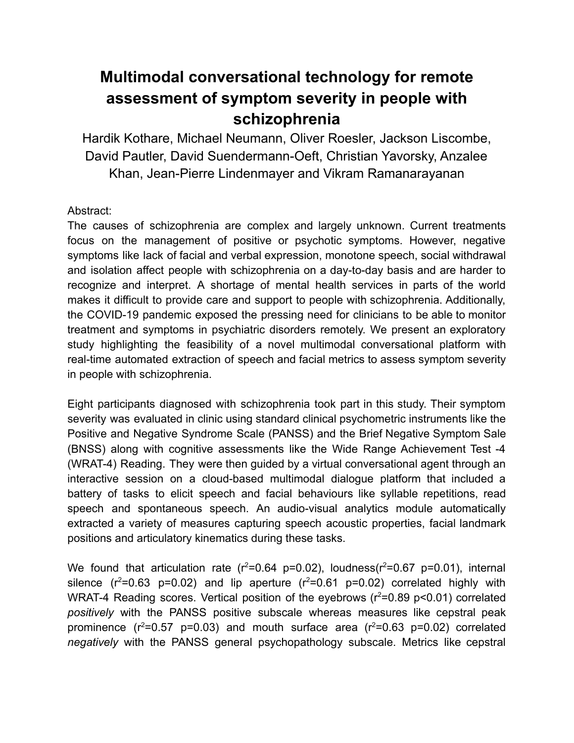## **Multimodal conversational technology for remote assessment of symptom severity in people with schizophrenia**

Hardik Kothare, Michael Neumann, Oliver Roesler, Jackson Liscombe, David Pautler, David Suendermann-Oeft, Christian Yavorsky, Anzalee Khan, Jean-Pierre Lindenmayer and Vikram Ramanarayanan

## Abstract:

The causes of schizophrenia are complex and largely unknown. Current treatments focus on the management of positive or psychotic symptoms. However, negative symptoms like lack of facial and verbal expression, monotone speech, social withdrawal and isolation affect people with schizophrenia on a day-to-day basis and are harder to recognize and interpret. A shortage of mental health services in parts of the world makes it difficult to provide care and support to people with schizophrenia. Additionally, the COVID-19 pandemic exposed the pressing need for clinicians to be able to monitor treatment and symptoms in psychiatric disorders remotely. We present an exploratory study highlighting the feasibility of a novel multimodal conversational platform with real-time automated extraction of speech and facial metrics to assess symptom severity in people with schizophrenia.

Eight participants diagnosed with schizophrenia took part in this study. Their symptom severity was evaluated in clinic using standard clinical psychometric instruments like the Positive and Negative Syndrome Scale (PANSS) and the Brief Negative Symptom Sale (BNSS) along with cognitive assessments like the Wide Range Achievement Test -4 (WRAT-4) Reading. They were then guided by a virtual conversational agent through an interactive session on a cloud-based multimodal dialogue platform that included a battery of tasks to elicit speech and facial behaviours like syllable repetitions, read speech and spontaneous speech. An audio-visual analytics module automatically extracted a variety of measures capturing speech acoustic properties, facial landmark positions and articulatory kinematics during these tasks.

We found that articulation rate ( $r^2$ =0.64 p=0.02), loudness( $r^2$ =0.67 p=0.01), internal silence  $(r^2=0.63 \text{ p}=0.02)$  and lip aperture  $(r^2=0.61 \text{ p}=0.02)$  correlated highly with WRAT-4 Reading scores. Vertical position of the eyebrows ( $r^2$ =0.89 p<0.01) correlated *positively* with the PANSS positive subscale whereas measures like cepstral peak prominence  $(r^2=0.57 \text{ p}=0.03)$  and mouth surface area  $(r^2=0.63 \text{ p}=0.02)$  correlated *negatively* with the PANSS general psychopathology subscale. Metrics like cepstral